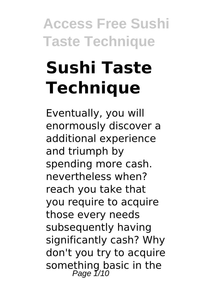# **Sushi Taste Technique**

Eventually, you will enormously discover a additional experience and triumph by spending more cash. nevertheless when? reach you take that you require to acquire those every needs subsequently having significantly cash? Why don't you try to acquire something basic in the<br>Page 1/10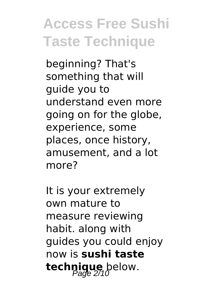beginning? That's something that will guide you to understand even more going on for the globe, experience, some places, once history, amusement, and a lot more?

It is your extremely own mature to measure reviewing habit. along with guides you could enjoy now is **sushi taste technique** below.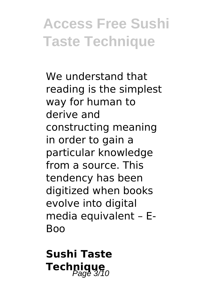We understand that reading is the simplest way for human to derive and constructing meaning in order to gain a particular knowledge from a source. This tendency has been digitized when books evolve into digital media equivalent – E-**Boo** 

**Sushi Taste Technique**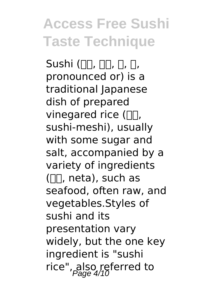Sushi ( $\Pi$ ,  $\Pi$ ,  $\Pi$ ,  $\Pi$ ,  $\Pi$ , pronounced or) is a traditional Japanese dish of prepared vinegared rice  $(\Pi \Pi, \Pi)$ sushi-meshi), usually with some sugar and salt, accompanied by a variety of ingredients  $(\Pi, \text{neta})$ , such as seafood, often raw, and vegetables.Styles of sushi and its presentation vary widely, but the one key ingredient is "sushi rice", also referred to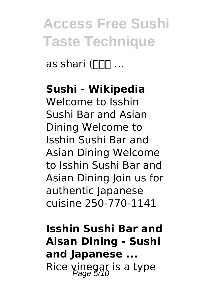as shari ( $\Box$  $\Box$ ...

#### **Sushi - Wikipedia**

Welcome to Isshin Sushi Bar and Asian Dining Welcome to Isshin Sushi Bar and Asian Dining Welcome to Isshin Sushi Bar and Asian Dining Join us for authentic Japanese cuisine 250-770-1141

**Isshin Sushi Bar and Aisan Dining - Sushi and Japanese ...** Rice vinegar is a type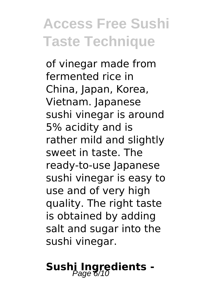of vinegar made from fermented rice in China, Japan, Korea, Vietnam. Japanese sushi vinegar is around 5% acidity and is rather mild and slightly sweet in taste. The ready-to-use Japanese sushi vinegar is easy to use and of very high quality. The right taste is obtained by adding salt and sugar into the sushi vinegar.

# Sushi Ingredients -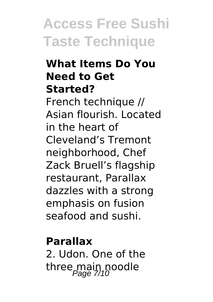#### **What Items Do You Need to Get Started?**

French technique // Asian flourish. Located in the heart of Cleveland's Tremont neighborhood, Chef Zack Bruell's flagship restaurant, Parallax dazzles with a strong emphasis on fusion seafood and sushi.

#### **Parallax**

2. Udon. One of the three main noodle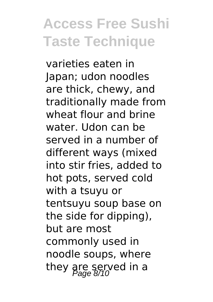varieties eaten in Japan; udon noodles are thick, chewy, and traditionally made from wheat flour and brine water. Udon can be served in a number of different ways (mixed into stir fries, added to hot pots, served cold with a tsuyu or tentsuyu soup base on the side for dipping), but are most commonly used in noodle soups, where they are served in a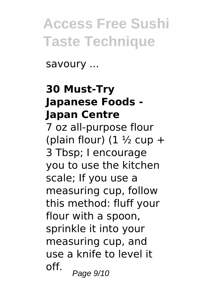savoury ...

#### **30 Must-Try Japanese Foods - Japan Centre**

7 oz all-purpose flour (plain flour)  $(1 \frac{1}{2})$  cup + 3 Tbsp; I encourage you to use the kitchen scale; If you use a measuring cup, follow this method: fluff your flour with a spoon, sprinkle it into your measuring cup, and use a knife to level it off.  $Page 9/10$